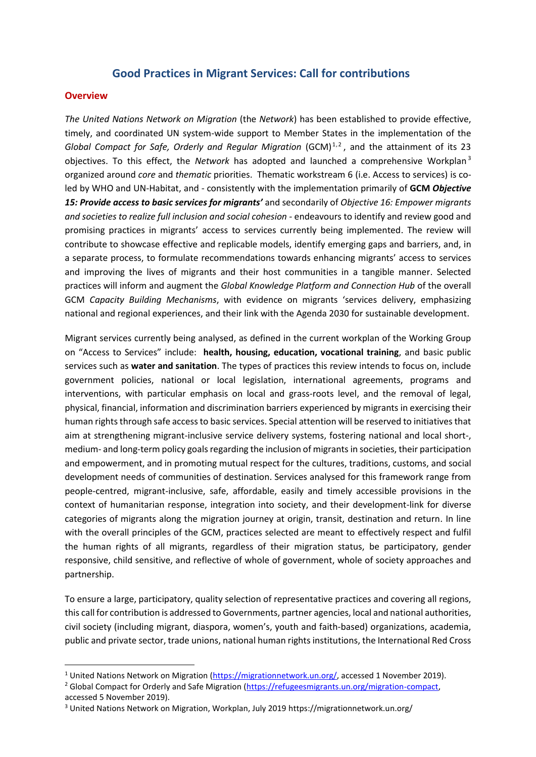## **Good Practices in Migrant Services: Call for contributions**

#### **Overview**

*The United Nations Network on Migration* (the *Network*) has been established to provide effective, timely, and coordinated UN system-wide support to Member States in the implementation of the Global Compact for Safe, Orderly and Regular Migration (GCM)<sup>1,2</sup>, and the attainment of its 23 objectives. To this effect, the *Network* has adopted and launched a comprehensive Workplan <sup>3</sup> organized around *core* and *thematic* priorities. Thematic workstream 6 (i.e. Access to services) is coled by WHO and UN-Habitat, and - consistently with the implementation primarily of **GCM** *Objective 15: Provide access to basic services for migrants'* and secondarily of *Objective 16: Empower migrants and societies to realize full inclusion and social cohesion -* endeavours to identify and review good and promising practices in migrants' access to services currently being implemented. The review will contribute to showcase effective and replicable models, identify emerging gaps and barriers, and, in a separate process, to formulate recommendations towards enhancing migrants' access to services and improving the lives of migrants and their host communities in a tangible manner. Selected practices will inform and augment the *Global Knowledge Platform and Connection Hub* of the overall GCM *Capacity Building Mechanisms*, with evidence on migrants 'services delivery, emphasizing national and regional experiences, and their link with the Agenda 2030 for sustainable development.

Migrant services currently being analysed, as defined in the current workplan of the Working Group on "Access to Services" include: **health, housing, education, vocational training**, and basic public services such as **water and sanitation**. The types of practices this review intends to focus on, include government policies, national or local legislation, international agreements, programs and interventions, with particular emphasis on local and grass-roots level, and the removal of legal, physical, financial, information and discrimination barriers experienced by migrants in exercising their human rights through safe access to basic services. Special attention will be reserved to initiatives that aim at strengthening migrant-inclusive service delivery systems, fostering national and local short-, medium- and long-term policy goals regarding the inclusion of migrants in societies, their participation and empowerment, and in promoting mutual respect for the cultures, traditions, customs, and social development needs of communities of destination. Services analysed for this framework range from people-centred, migrant-inclusive, safe, affordable, easily and timely accessible provisions in the context of humanitarian response, integration into society, and their development-link for diverse categories of migrants along the migration journey at origin, transit, destination and return. In line with the overall principles of the GCM, practices selected are meant to effectively respect and fulfil the human rights of all migrants, regardless of their migration status, be participatory, gender responsive, child sensitive, and reflective of whole of government, whole of society approaches and partnership.

To ensure a large, participatory, quality selection of representative practices and covering all regions, this call for contribution is addressed to Governments, partner agencies, local and national authorities, civil society (including migrant, diaspora, women's, youth and faith-based) organizations, academia, public and private sector, trade unions, national human rights institutions, the International Red Cross

<sup>&</sup>lt;sup>1</sup> United Nations Network on Migration [\(https://migrationnetwork.un.org/,](https://migrationnetwork.un.org/) accessed 1 November 2019).

<sup>&</sup>lt;sup>2</sup> Global Compact for Orderly and Safe Migration [\(https://refugeesmigrants.un.org/migration-compact,](https://refugeesmigrants.un.org/migration-compact) accessed 5 November 2019).

<sup>3</sup> United Nations Network on Migration, Workplan, July 2019 https://migrationnetwork.un.org/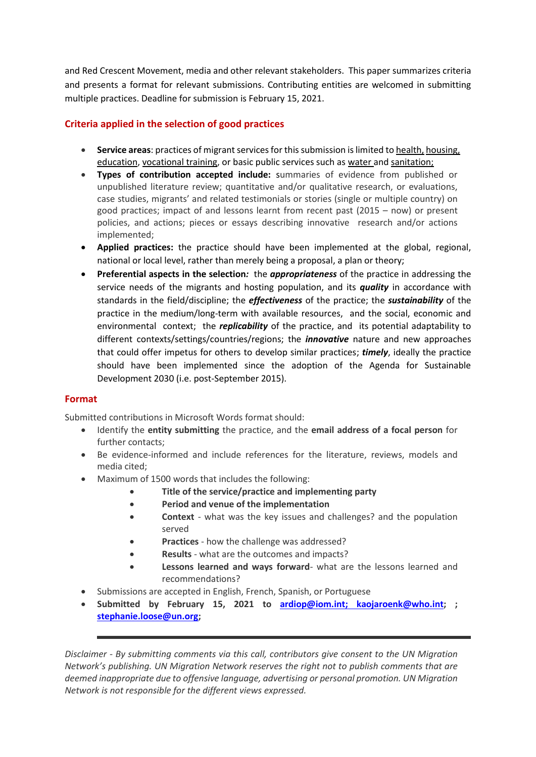and Red Crescent Movement, media and other relevant stakeholders. This paper summarizes criteria and presents a format for relevant submissions. Contributing entities are welcomed in submitting multiple practices. Deadline for submission is February 15, 2021.

## **Criteria applied in the selection of good practices**

- Service areas: practices of migrant services for this submission is limited to health, housing, education, vocational training, or basic public services such as water and sanitation;
- **Types of contribution accepted include:** summaries of evidence from published or unpublished literature review; quantitative and/or qualitative research, or evaluations, case studies, migrants' and related testimonials or stories (single or multiple country) on good practices; impact of and lessons learnt from recent past (2015 – now) or present policies, and actions; pieces or essays describing innovative research and/or actions implemented;
- **Applied practices:** the practice should have been implemented at the global, regional, national or local level, rather than merely being a proposal, a plan or theory;
- **Preferential aspects in the selection***:* the *appropriateness* of the practice in addressing the service needs of the migrants and hosting population, and its *quality* in accordance with standards in the field/discipline; the *effectiveness* of the practice; the *sustainability* of the practice in the medium/long-term with available resources, and the social, economic and environmental context; the *replicability* of the practice, and its potential adaptability to different contexts/settings/countries/regions; the *innovative* nature and new approaches that could offer impetus for others to develop similar practices; *timely*, ideally the practice should have been implemented since the adoption of the Agenda for Sustainable Development 2030 (i.e. post-September 2015).

#### **Format**

Submitted contributions in Microsoft Words format should:

- Identify the **entity submitting** the practice, and the **email address of a focal person** for further contacts;
- Be evidence-informed and include references for the literature, reviews, models and media cited;
- Maximum of 1500 words that includes the following:
	- **Title of the service/practice and implementing party**
	- **Period and venue of the implementation**
	- **Context**  what was the key issues and challenges? and the population served
	- **Practices** how the challenge was addressed?
	- **Results** what are the outcomes and impacts?
	- **Lessons learned and ways forward** what are the lessons learned and recommendations?
- Submissions are accepted in English, French, Spanish, or Portuguese
- **Submitted by February 15, 2021 to [ardiop@iom.int;](mailto:ardiop@iom.int) [kaojaroenk@who.int;](mailto:kaojaroenk@who.int) ; [stephanie.loose@un.org;](mailto:stephanie.loose@un.org)**

*Disclaimer - By submitting comments via this call, contributors give consent to the UN Migration Network's publishing. UN Migration Network reserves the right not to publish comments that are deemed inappropriate due to offensive language, advertising or personal promotion. UN Migration Network is not responsible for the different views expressed.*